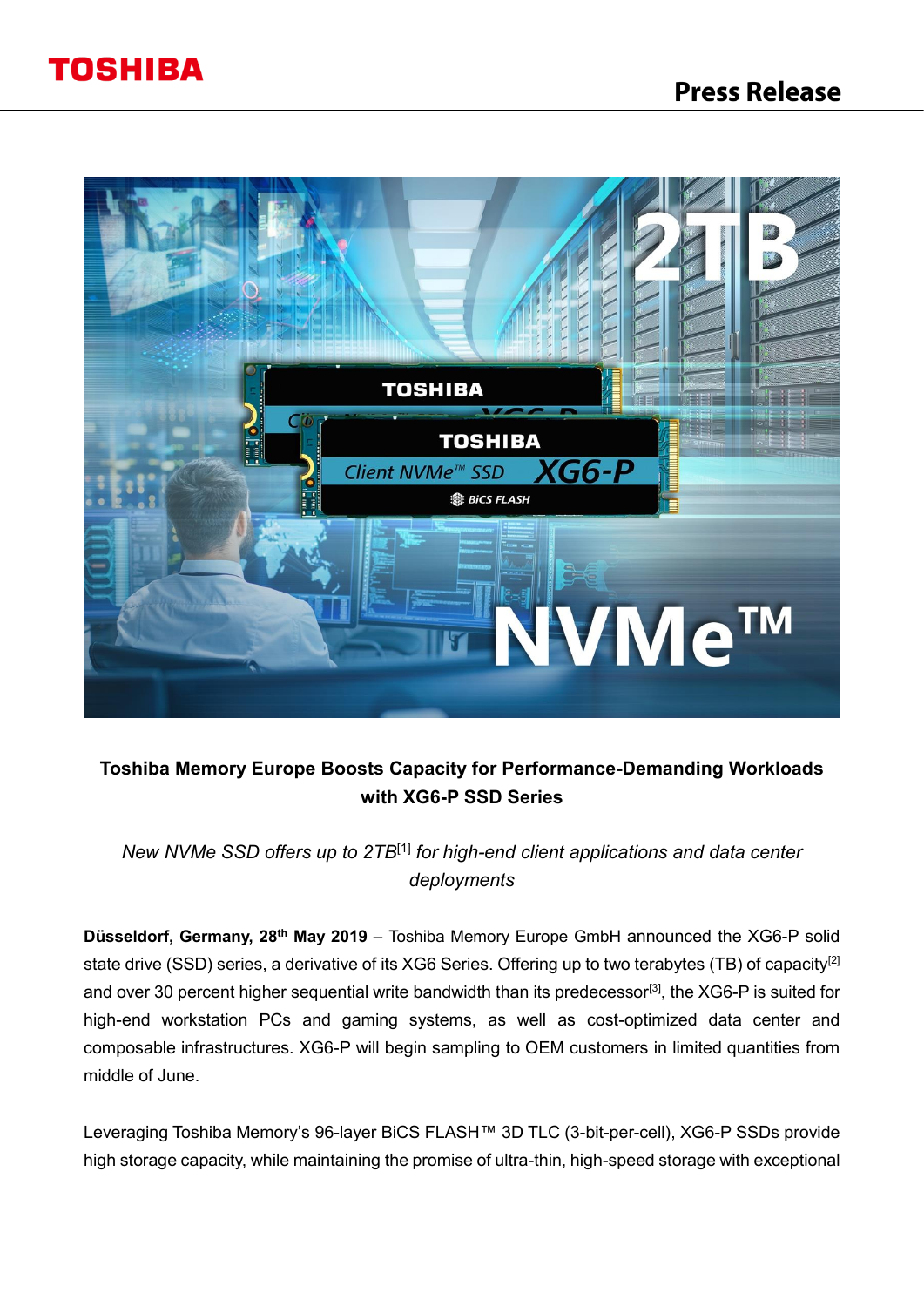### **Press Release**



### **Toshiba Memory Europe Boosts Capacity for Performance-Demanding Workloads with XG6-P SSD Series**

*New NVMe SSD offers up to 2TB*[1] *for high-end client applications and data center deployments* 

**Düsseldorf, Germany, 28th May 2019** – Toshiba Memory Europe GmbH announced the XG6-P solid state drive (SSD) series, a derivative of its XG6 Series. Offering up to two terabytes (TB) of capacity<sup>[2]</sup> and over 30 percent higher sequential write bandwidth than its predecessor<sup>[3]</sup>, the XG6-P is suited for high-end workstation PCs and gaming systems, as well as cost-optimized data center and composable infrastructures. XG6-P will begin sampling to OEM customers in limited quantities from middle of June.

Leveraging Toshiba Memory's 96-layer BiCS FLASH™ 3D TLC (3-bit-per-cell), XG6-P SSDs provide high storage capacity, while maintaining the promise of ultra-thin, high-speed storage with exceptional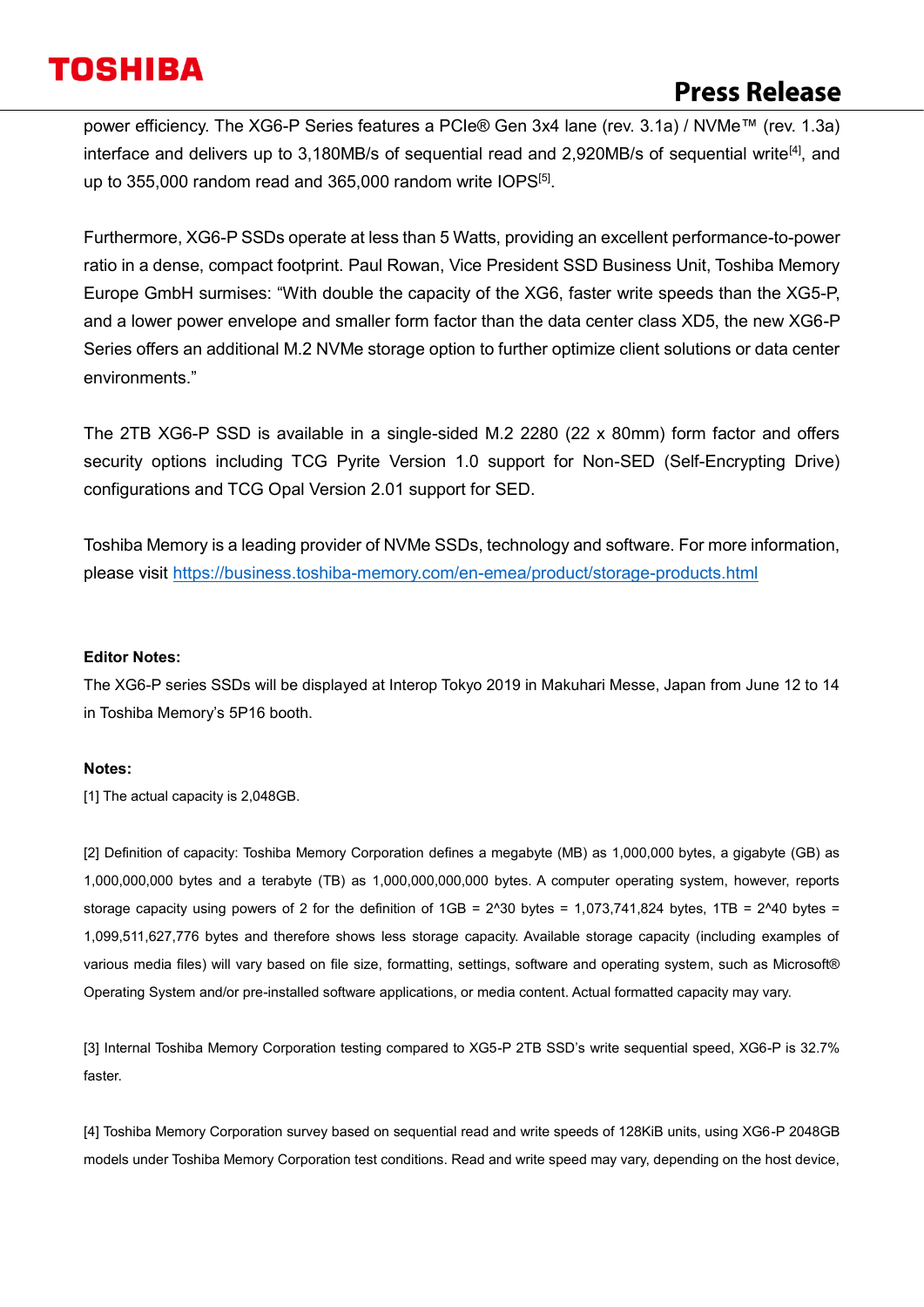### **Press Release**

power efficiency. The XG6-P Series features a PCIe® Gen 3x4 lane (rev. 3.1a) / NVMe™ (rev. 1.3a) interface and delivers up to 3,180MB/s of sequential read and 2,920MB/s of sequential write<sup>[4]</sup>, and up to 355,000 random read and 365,000 random write  $10PS^{[5]}$ .

Furthermore, XG6-P SSDs operate at less than 5 Watts, providing an excellent performance-to-power ratio in a dense, compact footprint. Paul Rowan, Vice President SSD Business Unit, Toshiba Memory Europe GmbH surmises: "With double the capacity of the XG6, faster write speeds than the XG5-P, and a lower power envelope and smaller form factor than the data center class XD5, the new XG6-P Series offers an additional M.2 NVMe storage option to further optimize client solutions or data center environments."

The 2TB XG6-P SSD is available in a single-sided M.2 2280 (22 x 80mm) form factor and offers security options including TCG Pyrite Version 1.0 support for Non-SED (Self-Encrypting Drive) configurations and TCG Opal Version 2.01 support for SED.

Toshiba Memory is a leading provider of NVMe SSDs, technology and software. For more information, please visit<https://business.toshiba-memory.com/en-emea/product/storage-products.html>

### **Editor Notes:**

The XG6-P series SSDs will be displayed at Interop Tokyo 2019 in Makuhari Messe, Japan from June 12 to 14 in Toshiba Memory's 5P16 booth.

### **Notes:**

[1] The actual capacity is 2,048GB.

[2] Definition of capacity: Toshiba Memory Corporation defines a megabyte (MB) as 1,000,000 bytes, a gigabyte (GB) as 1,000,000,000 bytes and a terabyte (TB) as 1,000,000,000,000 bytes. A computer operating system, however, reports storage capacity using powers of 2 for the definition of  $1GB = 2^030$  bytes = 1,073,741,824 bytes, 1TB = 2^40 bytes = 1,099,511,627,776 bytes and therefore shows less storage capacity. Available storage capacity (including examples of various media files) will vary based on file size, formatting, settings, software and operating system, such as Microsoft® Operating System and/or pre-installed software applications, or media content. Actual formatted capacity may vary.

[3] Internal Toshiba Memory Corporation testing compared to XG5-P 2TB SSD's write sequential speed, XG6-P is 32.7% faster.

[4] Toshiba Memory Corporation survey based on sequential read and write speeds of 128KiB units, using XG6-P 2048GB models under Toshiba Memory Corporation test conditions. Read and write speed may vary, depending on the host device,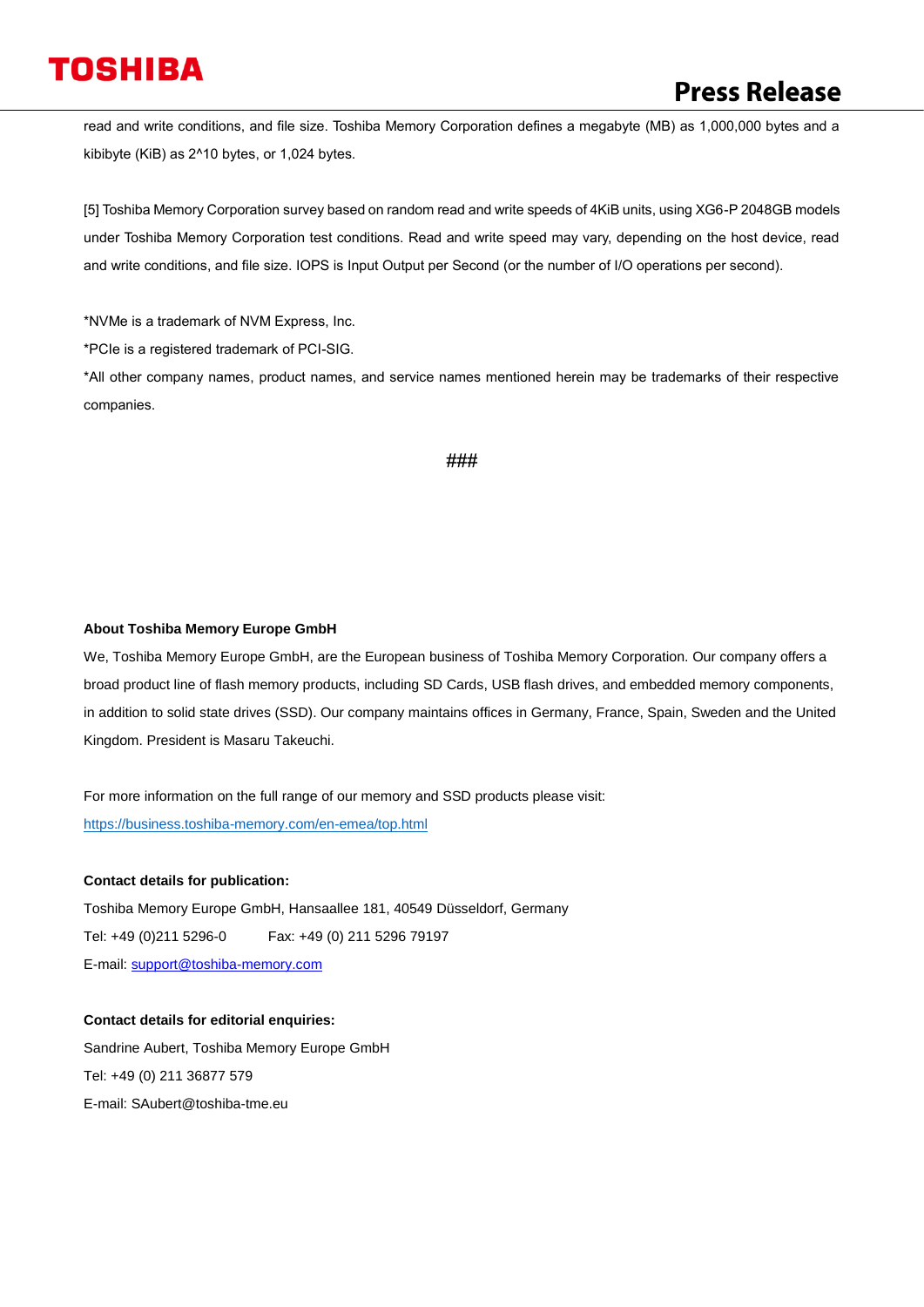read and write conditions, and file size. Toshiba Memory Corporation defines a megabyte (MB) as 1,000,000 bytes and a kibibyte (KiB) as 2^10 bytes, or 1,024 bytes.

[5] Toshiba Memory Corporation survey based on random read and write speeds of 4KiB units, using XG6-P 2048GB models under Toshiba Memory Corporation test conditions. Read and write speed may vary, depending on the host device, read and write conditions, and file size. IOPS is Input Output per Second (or the number of I/O operations per second).

\*NVMe is a trademark of NVM Express, Inc.

\*PCIe is a registered trademark of PCI-SIG.

\*All other company names, product names, and service names mentioned herein may be trademarks of their respective companies.

#### ###

#### **About Toshiba Memory Europe GmbH**

We, Toshiba Memory Europe GmbH, are the European business of Toshiba Memory Corporation. Our company offers a broad product line of flash memory products, including SD Cards, USB flash drives, and embedded memory components, in addition to solid state drives (SSD). Our company maintains offices in Germany, France, Spain, Sweden and the United Kingdom. President is Masaru Takeuchi.

For more information on the full range of our memory and SSD products please visit: <https://business.toshiba-memory.com/en-emea/top.html>

#### **Contact details for publication:**

Toshiba Memory Europe GmbH, Hansaallee 181, 40549 Düsseldorf, Germany Tel: +49 (0)211 5296-0 Fax: +49 (0) 211 5296 79197 E-mail: [support@toshiba-memory.com](mailto:support@toshiba-memory.com)

### **Contact details for editorial enquiries:**

Sandrine Aubert, Toshiba Memory Europe GmbH Tel: +49 (0) 211 36877 579 E-mail: SAubert@toshiba-tme.eu